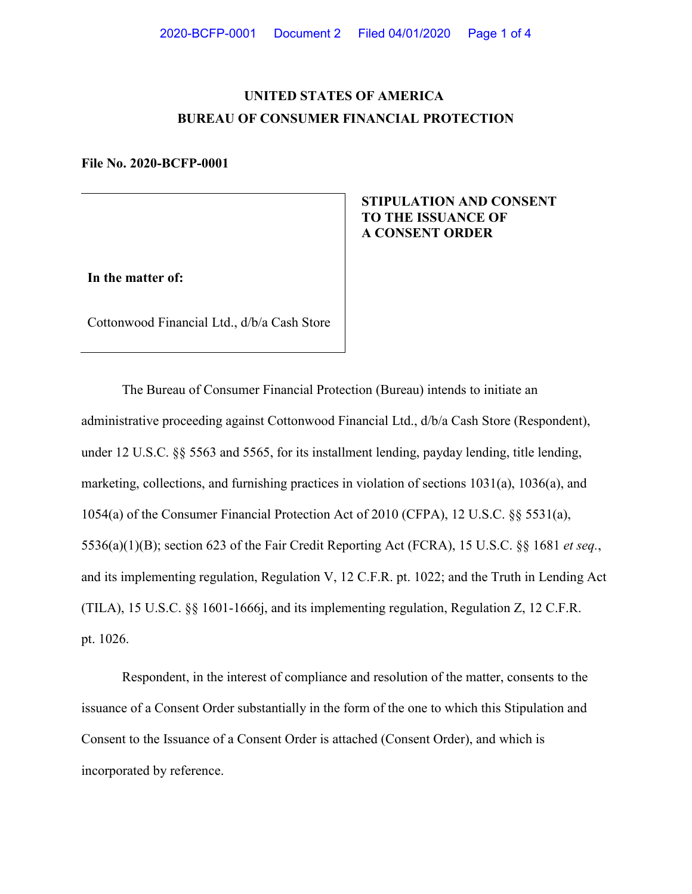# **UNITED STATES OF AMERICA BUREAU OF CONSUMER FINANCIAL PROTECTION**

#### **File No. 2020-BCFP-0001**

## **STIPULATION AND CONSENT TO THE ISSUANCE OF A CONSENT ORDER**

**In the matter of:**

Cottonwood Financial Ltd., d/b/a Cash Store

The Bureau of Consumer Financial Protection (Bureau) intends to initiate an administrative proceeding against Cottonwood Financial Ltd., d/b/a Cash Store (Respondent), under 12 U.S.C. §§ 5563 and 5565, for its installment lending, payday lending, title lending, marketing, collections, and furnishing practices in violation of sections 1031(a), 1036(a), and 1054(a) of the Consumer Financial Protection Act of 2010 (CFPA), 12 U.S.C. §§ 5531(a), 5536(a)(1)(B); section 623 of the Fair Credit Reporting Act (FCRA), 15 U.S.C. §§ 1681 *et seq.*, and its implementing regulation, Regulation V, 12 C.F.R. pt. 1022; and the Truth in Lending Act (TILA), 15 U.S.C. §§ 1601-1666j, and its implementing regulation, Regulation Z, 12 C.F.R. pt. 1026.

Respondent, in the interest of compliance and resolution of the matter, consents to the issuance of a Consent Order substantially in the form of the one to which this Stipulation and Consent to the Issuance of a Consent Order is attached (Consent Order), and which is incorporated by reference.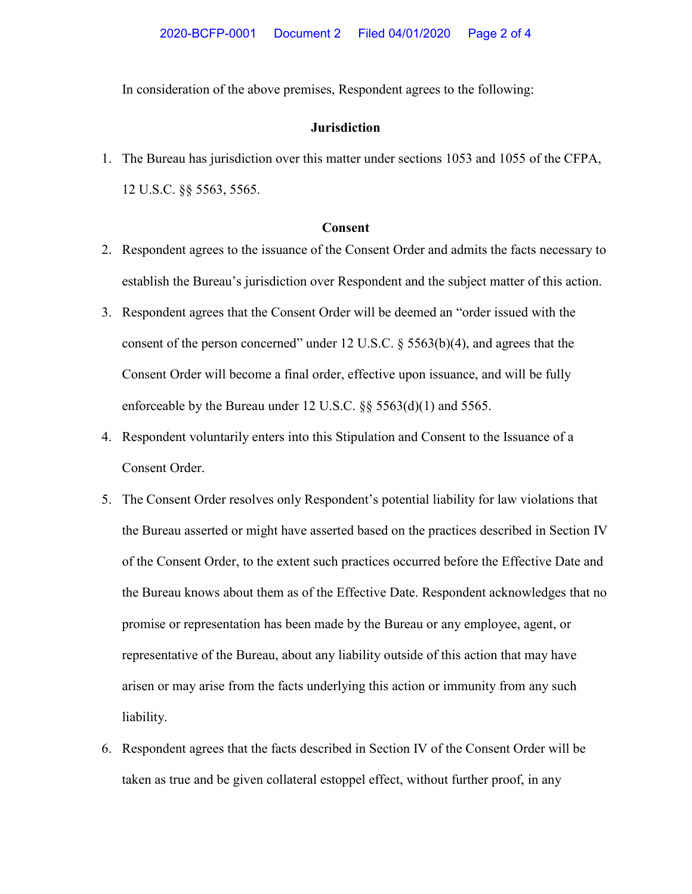In consideration of the above premises, Respondent agrees to the following:

## **Jurisdiction**

1. The Bureau has jurisdiction over this matter under sections 1053 and 1055 of the CFPA, 12 U.S.C. §§ 5563, 5565.

## **Consent**

- 2. Respondent agrees to the issuance of the Consent Order and admits the facts necessary to establish the Bureau's jurisdiction over Respondent and the subject matter of this action.
- 3. Respondent agrees that the Consent Order will be deemed an "order issued with the consent of the person concerned" under 12 U.S.C.  $\S$  5563(b)(4), and agrees that the Consent Order will become a final order, effective upon issuance, and will be fully enforceable by the Bureau under 12 U.S.C. §§ 5563(d)(1) and 5565.
- 4. Respondent voluntarily enters into this Stipulation and Consent to the Issuance of a Consent Order.
- 5. The Consent Order resolves only Respondent's potential liability for law violations that the Bureau asserted or might have asserted based on the practices described in Section IV of the Consent Order, to the extent such practices occurred before the Effective Date and the Bureau knows about them as of the Effective Date. Respondent acknowledges that no promise or representation has been made by the Bureau or any employee, agent, or representative of the Bureau, about any liability outside of this action that may have arisen or may arise from the facts underlying this action or immunity from any such liability.
- 6. Respondent agrees that the facts described in Section IV of the Consent Order will be taken as true and be given collateral estoppel effect, without further proof, in any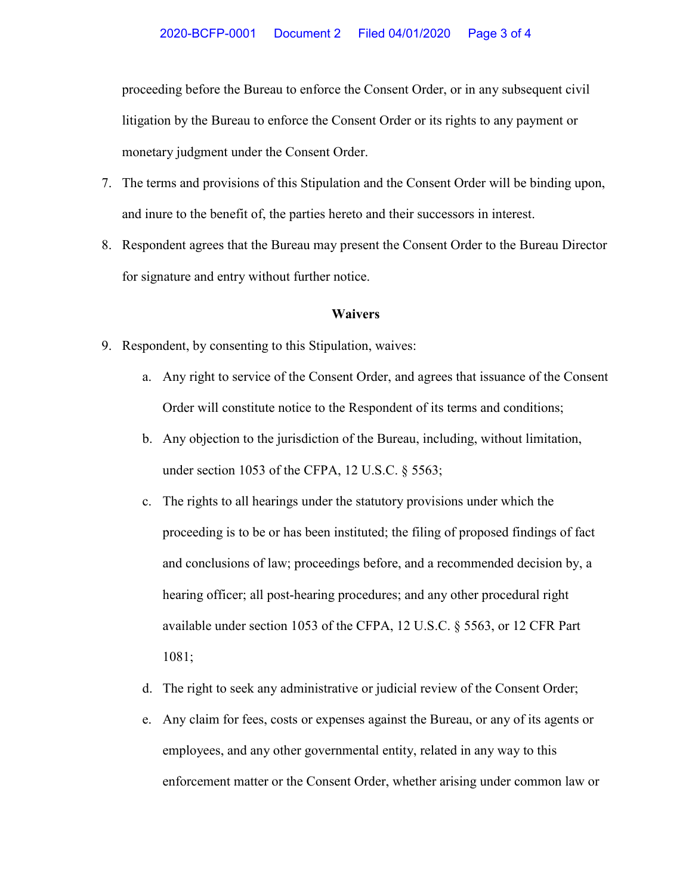proceeding before the Bureau to enforce the Consent Order, or in any subsequent civil litigation by the Bureau to enforce the Consent Order or its rights to any payment or monetary judgment under the Consent Order.

- 7. The terms and provisions of this Stipulation and the Consent Order will be binding upon, and inure to the benefit of, the parties hereto and their successors in interest.
- 8. Respondent agrees that the Bureau may present the Consent Order to the Bureau Director for signature and entry without further notice.

## **Waivers**

- 9. Respondent, by consenting to this Stipulation, waives:
	- a. Any right to service of the Consent Order, and agrees that issuance of the Consent Order will constitute notice to the Respondent of its terms and conditions;
	- b. Any objection to the jurisdiction of the Bureau, including, without limitation, under section 1053 of the CFPA, 12 U.S.C. § 5563;
	- c. The rights to all hearings under the statutory provisions under which the proceeding is to be or has been instituted; the filing of proposed findings of fact and conclusions of law; proceedings before, and a recommended decision by, a hearing officer; all post-hearing procedures; and any other procedural right available under section 1053 of the CFPA, 12 U.S.C. § 5563, or 12 CFR Part 1081;
	- d. The right to seek any administrative or judicial review of the Consent Order;
	- e. Any claim for fees, costs or expenses against the Bureau, or any of its agents or employees, and any other governmental entity, related in any way to this enforcement matter or the Consent Order, whether arising under common law or